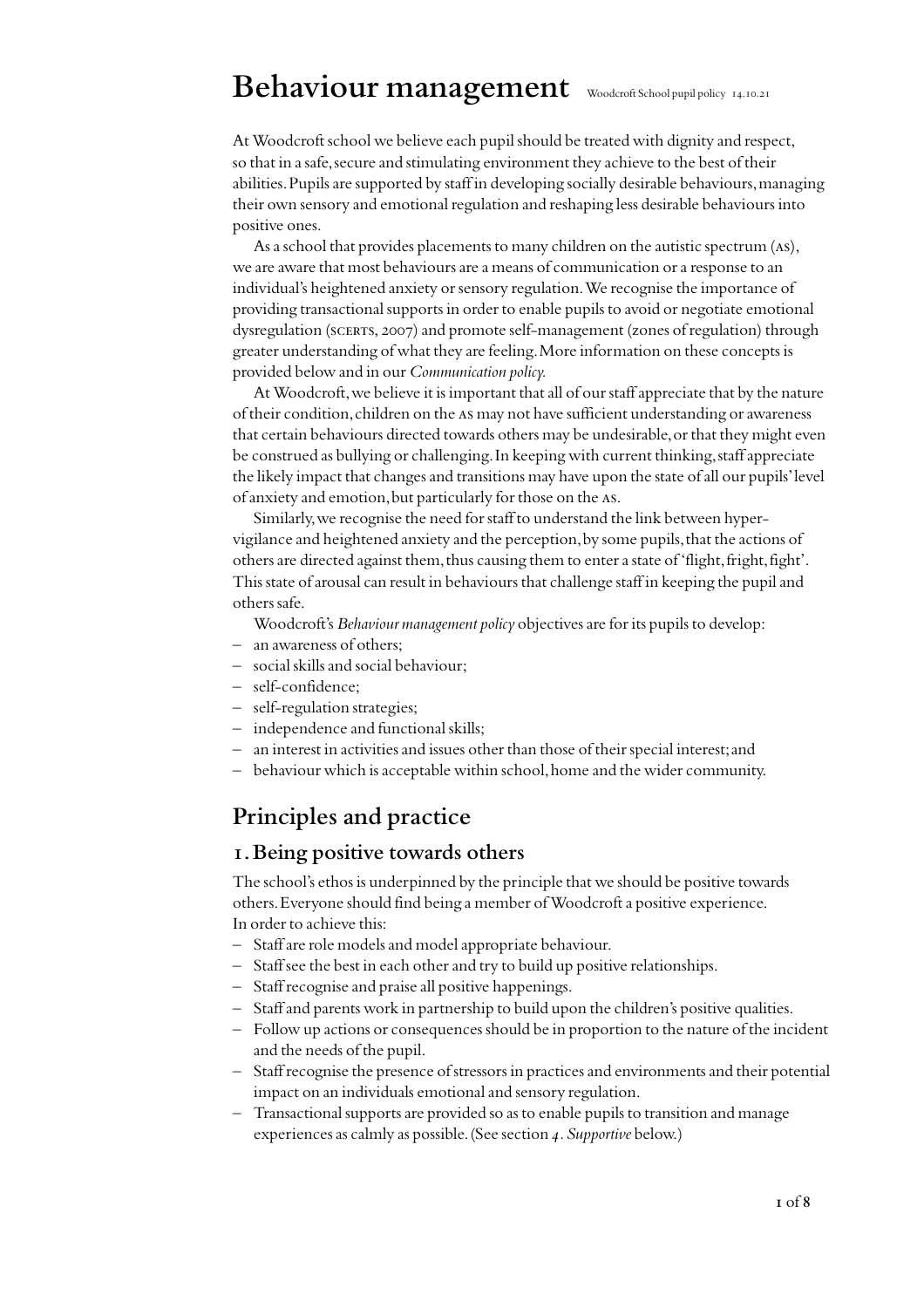# **Behaviour management** Woodcroft School pupil policy 14.10.<sup>21</sup>

At Woodcroft school we believe each pupil should be treated with dignity and respect, so that in a safe, secure and stimulating environment they achieve to the best of their abilities. Pupils are supported by staff in developing socially desirable behaviours, managing their own sensory and emotional regulation and reshaping less desirable behaviours into positive ones.

As a school that provides placements to many children on the autistic spectrum (as), we are aware that most behaviours are a means of communication or a response to an individual's heightened anxiety or sensory regulation. We recognise the importance of providing transactional supports in order to enable pupils to avoid or negotiate emotional dysregulation (scerts, 2007) and promote self-management (zones of regulation) through greater understanding of what they are feeling. More information on these concepts is provided below and in our *Communication policy.*

At Woodcroft, we believe it is important that all of our staff appreciate that by the nature of their condition, children on the as may not have sufficient understanding or awareness that certain behaviours directed towards others may be undesirable, or that they might even be construed as bullying or challenging. In keeping with current thinking, staff appreciate the likely impact that changes and transitions may have upon the state of all our pupils' level of anxiety and emotion, but particularly for those on the as.

Similarly, we recognise the need for staff to understand the link between hypervigilance and heightened anxiety and the perception, by some pupils, that the actions of others are directed against them, thus causing them to enter a state of 'flight, fright, fight'. This state of arousal can result in behaviours that challenge staff in keeping the pupil and others safe.

Woodcroft's *Behaviour management policy* objectives are for its pupils to develop:

- an awareness of others;
- social skills and social behaviour;
- self-confidence;
- self-regulation strategies;
- independence and functional skills;
- an interest in activities and issues other than those of their special interest; and
- behaviour which is acceptable within school, home and the wider community.

## **Principles and practice**

### **1. Being positive towards others**

The school's ethos is underpinned by the principle that we should be positive towards others. Everyone should find being a member of Woodcroft a positive experience. In order to achieve this:

- Staff are role models and model appropriate behaviour.
- Staff see the best in each other and try to build up positive relationships.
- Staff recognise and praise all positive happenings.
- Staff and parents work in partnership to build upon the children's positive qualities.
- Follow up actions or consequences should be in proportion to the nature of the incident and the needs of the pupil.
- Staff recognise the presence of stressors in practices and environments and their potential impact on an individuals emotional and sensory regulation.
- Transactional supports are provided so as to enable pupils to transition and manage experiences as calmly as possible. (See section *4.Supportive* below.)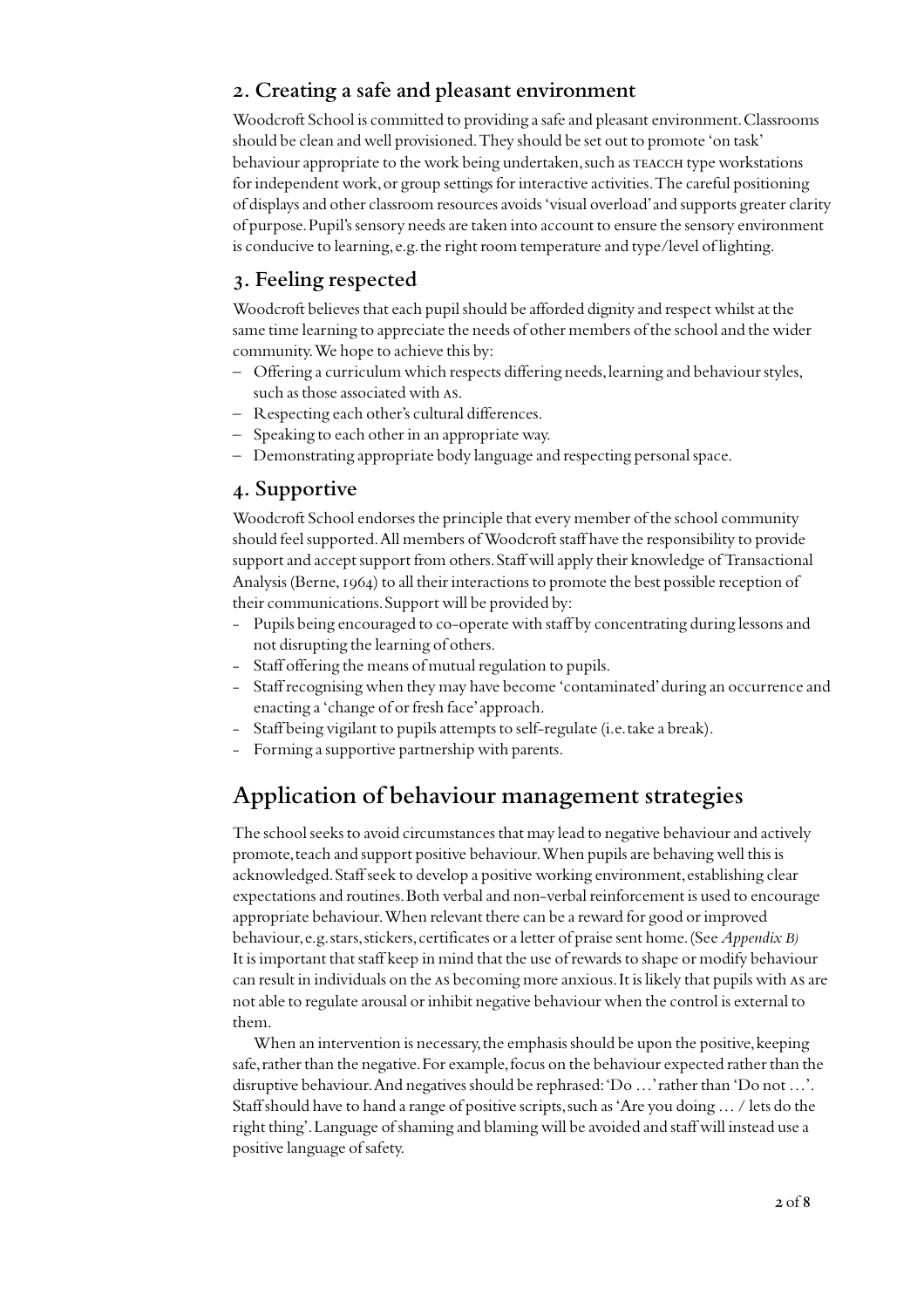### **2. Creating a safe and pleasant environment**

Woodcroft School is committed to providing a safe and pleasant environment. Classrooms should be clean and well provisioned. They should be set out to promote 'on task' behaviour appropriate to the work being undertaken, such as TEACCH type workstations for independent work, or group settings for interactive activities. The careful positioning of displays and other classroom resources avoids 'visual overload' and supports greater clarity of purpose. Pupil's sensory needs are taken into account to ensure the sensory environment is conducive to learning, e.g. the right room temperature and type/level of lighting.

### **3. Feeling respected**

Woodcroft believes that each pupil should be afforded dignity and respect whilst at the same time learning to appreciate the needs of other members of the school and the wider community. We hope to achieve this by:

- Offering a curriculum which respects differing needs, learning and behaviour styles, such as those associated with as.
- Respecting each other's cultural differences.
- Speaking to each other in an appropriate way.
- Demonstrating appropriate body language and respecting personal space.

### **4. Supportive**

Woodcroft School endorses the principle that every member of the school community should feel supported. All members of Woodcroft staff have the responsibility to provide support and accept support from others. Staff will apply their knowledge of Transactional Analysis (Berne, 1964) to all their interactions to promote the best possible reception of their communications. Support will be provided by:

- Pupils being encouraged to co-operate with staff by concentrating during lessons and not disrupting the learning of others.
- Staff offering the means of mutual regulation to pupils.
- Staff recognising when they may have become 'contaminated' during an occurrence and enacting a 'change of or fresh face' approach.
- Staff being vigilant to pupils attempts to self-regulate (i.e. take a break).
- Forming a supportive partnership with parents.

# **Application of behaviour management strategies**

The school seeks to avoid circumstances that may lead to negative behaviour and actively promote, teach and support positive behaviour. When pupils are behaving well this is acknowledged. Staff seek to develop a positive working environment, establishing clear expectations and routines. Both verbal and non-verbal reinforcement is used to encourage appropriate behaviour. When relevant there can be a reward for good or improved behaviour, e.g. stars, stickers, certificates or a letter of praise sent home. (See *Appendix B)* It is important that staff keep in mind that the use of rewards to shape or modify behaviour can result in individuals on the As becoming more anxious. It is likely that pupils with As are not able to regulate arousal or inhibit negative behaviour when the control is external to them.

When an intervention is necessary, the emphasis should be upon the positive, keeping safe, rather than the negative. For example, focus on the behaviour expected rather than the disruptive behaviour. And negatives should be rephrased: 'Do …' rather than 'Do not …'. Staff should have to hand a range of positive scripts, such as 'Are you doing … / lets do the right thing'. Language of shaming and blaming will be avoided and staff will instead use a positive language of safety.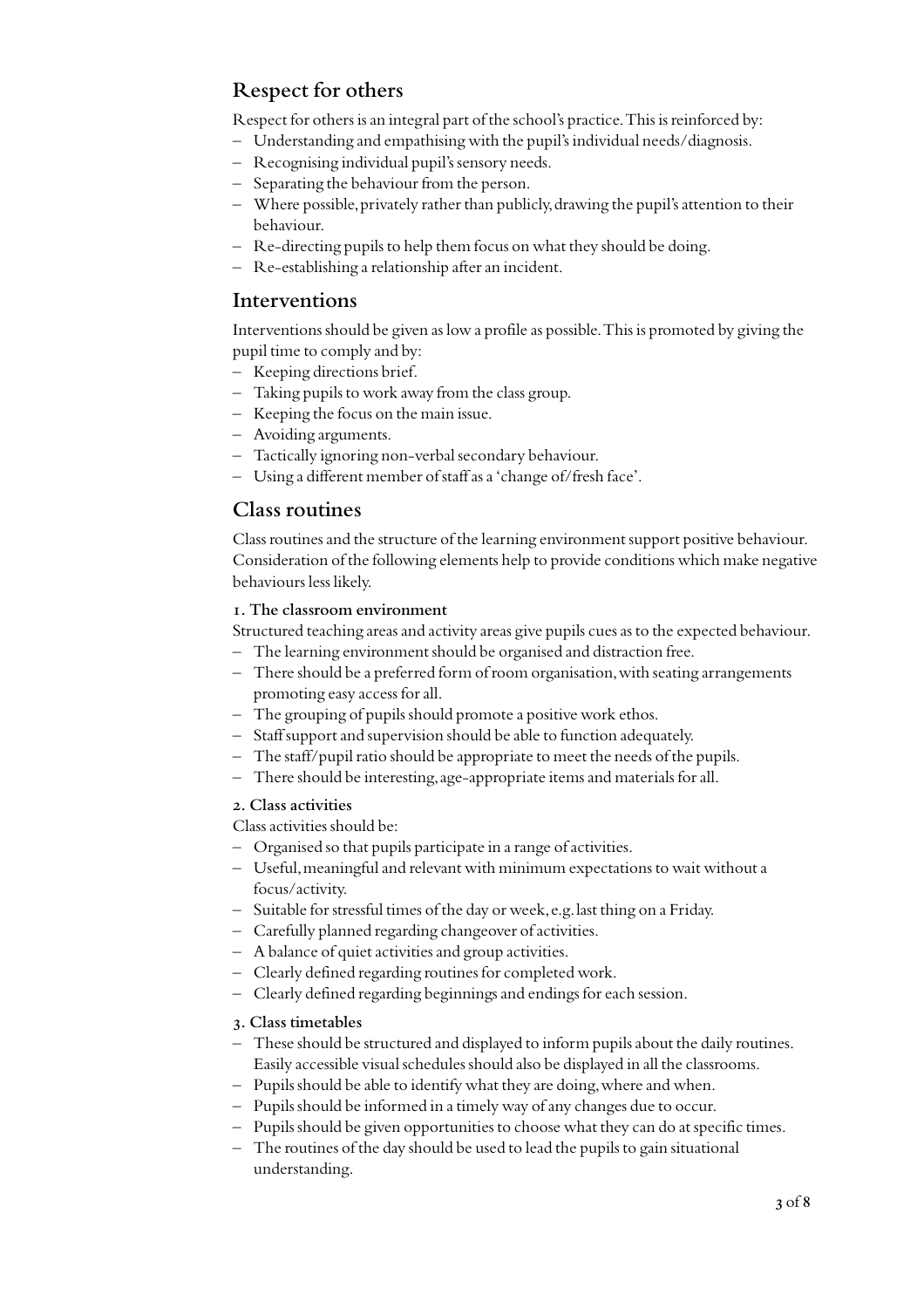## **Respect for others**

Respect for others is an integral part of the school's practice. This is reinforced by:

- Understanding and empathising with the pupil's individual needs/diagnosis.
- Recognising individual pupil's sensory needs.
- Separating the behaviour from the person.
- Where possible, privately rather than publicly, drawing the pupil's attention to their behaviour.
- Re-directing pupils to help them focus on what they should be doing.
- Re-establishing a relationship after an incident.

### **Interventions**

Interventions should be given as low a profile as possible. This is promoted by giving the pupil time to comply and by:

- Keeping directions brief.
- Taking pupils to work away from the class group.
- Keeping the focus on the main issue.
- Avoiding arguments.
- Tactically ignoring non-verbal secondary behaviour.
- Using a different member of staff as a 'change of/fresh face'.

### **Class routines**

Class routines and the structure of the learning environment support positive behaviour. Consideration of the following elements help to provide conditions which make negative behaviours less likely.

#### **1. The classroom environment**

Structured teaching areas and activity areas give pupils cues as to the expected behaviour.

- The learning environment should be organised and distraction free.
- There should be a preferred form of room organisation, with seating arrangements promoting easy access for all.
- The grouping of pupils should promote a positive work ethos.
- Staff support and supervision should be able to function adequately.
- The staff/pupil ratio should be appropriate to meet the needs of the pupils.
- There should be interesting, age-appropriate items and materials for all.

#### **2. Class activities**

Class activities should be:

- Organised so that pupils participate in a range of activities.
- Useful, meaningful and relevant with minimum expectations to wait without a focus/activity.
- Suitable for stressful times of the day or week, e.g. last thing on a Friday.
- Carefully planned regarding changeover of activities.
- A balance of quiet activities and group activities.
- Clearly defined regarding routines for completed work.
- Clearly defined regarding beginnings and endings for each session.

### **3. Class timetables**

- These should be structured and displayed to inform pupils about the daily routines. Easily accessible visual schedules should also be displayed in all the classrooms.
- Pupils should be able to identify what they are doing, where and when.
- Pupils should be informed in a timely way of any changes due to occur.
- Pupils should be given opportunities to choose what they can do at specific times.
- The routines of the day should be used to lead the pupils to gain situational understanding.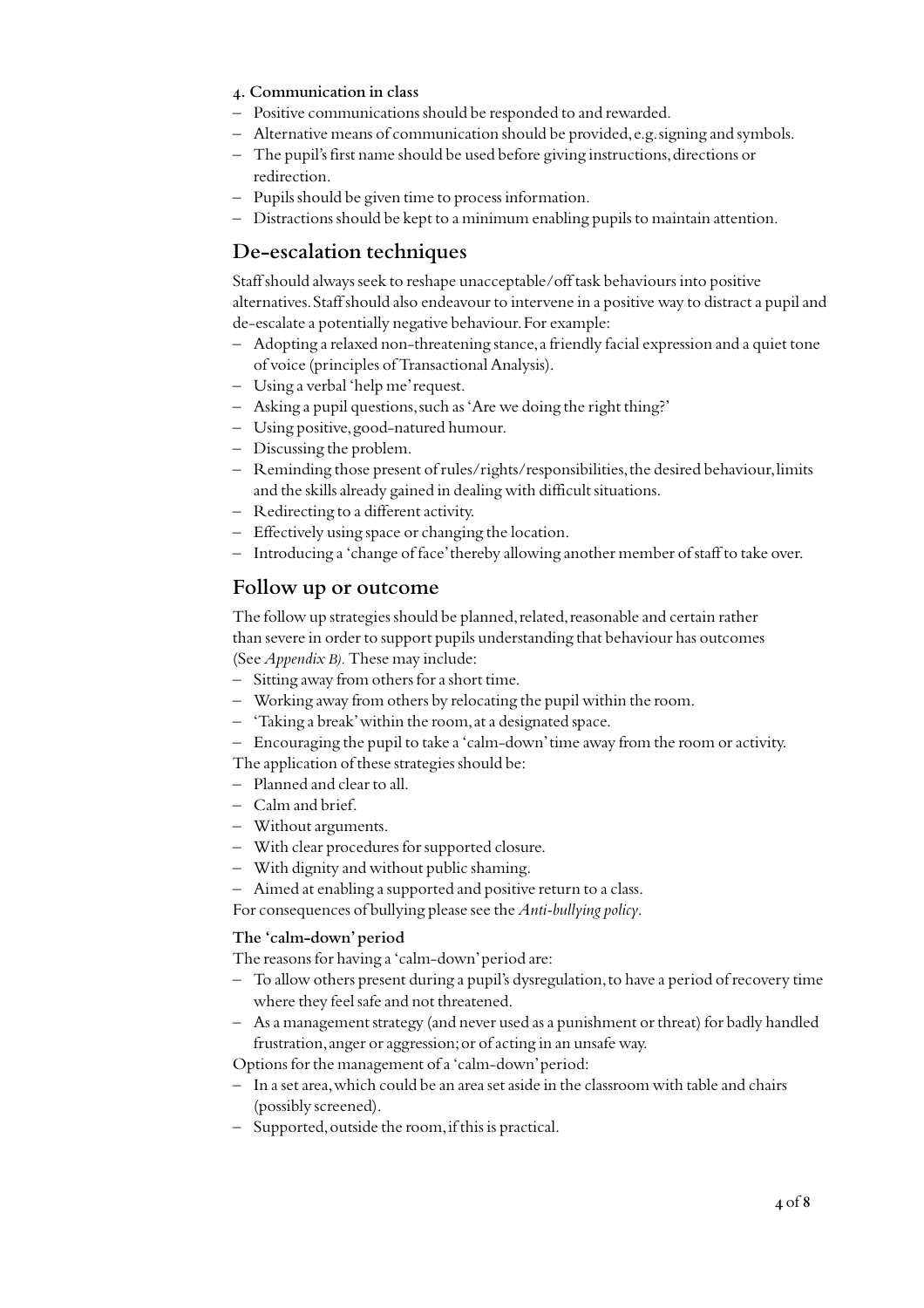- **4. Communication in class**
- Positive communications should be responded to and rewarded.
- Alternative means of communication should be provided, e.g. signing and symbols.
- The pupil's first name should be used before giving instructions, directions or redirection.
- Pupils should be given time to process information.
- Distractions should be kept to a minimum enabling pupils to maintain attention.

### **De-escalation techniques**

Staff should always seek to reshape unacceptable/off task behaviours into positive alternatives. Staff should also endeavour to intervene in a positive way to distract a pupil and de-escalate a potentially negative behaviour. For example:

- Adopting a relaxed non-threatening stance, a friendly facial expression and a quiet tone of voice (principles of Transactional Analysis).
- Using a verbal 'help me' request.
- Asking a pupil questions, such as 'Are we doing the right thing?'
- Using positive, good-natured humour.
- Discussing the problem.
- Reminding those present of rules/rights/responsibilities, the desired behaviour, limits and the skills already gained in dealing with difficult situations.
- Redirecting to a different activity.
- Effectively using space or changing the location.
- Introducing a 'change of face' thereby allowing another member of staff to take over.

### **Follow up or outcome**

The follow up strategies should be planned, related, reasonable and certain rather than severe in order to support pupils understanding that behaviour has outcomes (See *Appendix B).* These may include:

- Sitting away from others for a short time.
- Working away from others by relocating the pupil within the room.
- 'Taking a break' within the room, at a designated space.
- Encouraging the pupil to take a 'calm-down' time away from the room or activity.

The application of these strategies should be:

- Planned and clear to all.
- Calm and brief.
- Without arguments.
- With clear procedures for supported closure.
- With dignity and without public shaming.
- Aimed at enabling a supported and positive return to a class.

For consequences of bullying please see the *Anti-bullying policy*.

#### **The 'calm-down' period**

The reasons for having a 'calm-down' period are:

- To allow others present during a pupil's dysregulation, to have a period of recovery time where they feel safe and not threatened.
- As a management strategy (and never used as a punishment or threat) for badly handled frustration, anger or aggression; or of acting in an unsafe way.

Options for the management of a 'calm-down' period:

- In a set area, which could be an area set aside in the classroom with table and chairs (possibly screened).
- Supported, outside the room, if this is practical.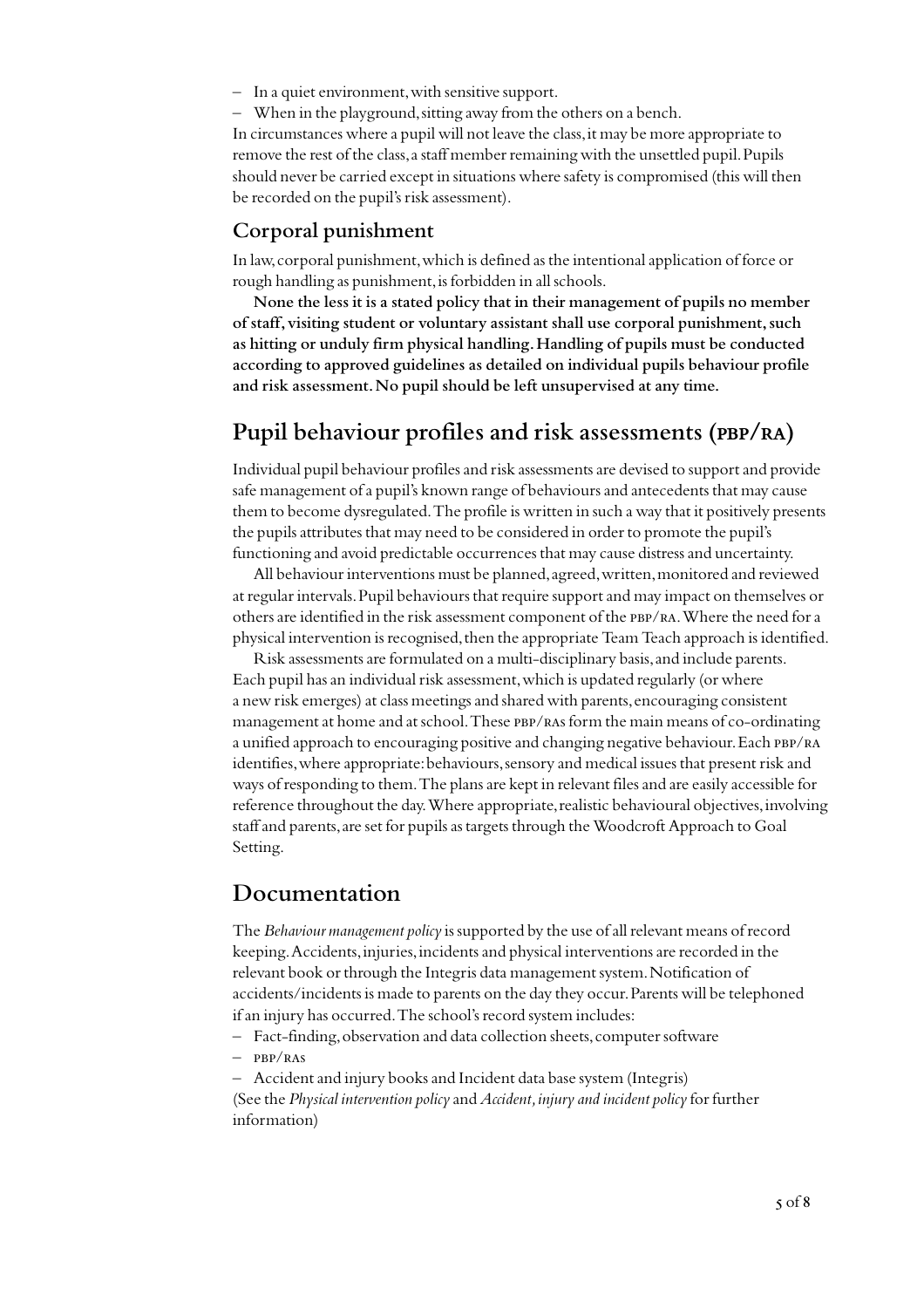- In a quiet environment, with sensitive support.
- When in the playground, sitting away from the others on a bench.

In circumstances where a pupil will not leave the class, it may be more appropriate to remove the rest of the class, a staff member remaining with the unsettled pupil. Pupils should never be carried except in situations where safety is compromised (this will then be recorded on the pupil's risk assessment).

### **Corporal punishment**

In law, corporal punishment, which is defined as the intentional application of force or rough handling as punishment, is forbidden in all schools.

**None the less it is a stated policy that in their management of pupils no member of staff, visiting student or voluntary assistant shall use corporal punishment, such as hitting or unduly firm physical handling. Handling of pupils must be conducted according to approved guidelines as detailed on individual pupils behaviour profile and risk assessment. No pupil should be left unsupervised at any time.**

## **Pupil behaviour profiles and risk assessments (pbp/ra)**

Individual pupil behaviour profiles and risk assessments are devised to support and provide safe management of a pupil's known range of behaviours and antecedents that may cause them to become dysregulated. The profile is written in such a way that it positively presents the pupils attributes that may need to be considered in order to promote the pupil's functioning and avoid predictable occurrences that may cause distress and uncertainty.

All behaviour interventions must be planned, agreed, written, monitored and reviewed at regular intervals. Pupil behaviours that require support and may impact on themselves or others are identified in the risk assessment component of the pbp/ra. Where the need for a physical intervention is recognised, then the appropriate Team Teach approach is identified.

Risk assessments are formulated on a multi-disciplinary basis, and include parents. Each pupil has an individual risk assessment, which is updated regularly (or where a new risk emerges) at class meetings and shared with parents, encouraging consistent management at home and at school. These PBP/RAs form the main means of co-ordinating a unified approach to encouraging positive and changing negative behaviour. Each pbp/ra identifies, where appropriate: behaviours, sensory and medical issues that present risk and ways of responding to them. The plans are kept in relevant files and are easily accessible for reference throughout the day. Where appropriate, realistic behavioural objectives, involving staff and parents, are set for pupils as targets through the Woodcroft Approach to Goal Setting.

## **Documentation**

The *Behaviour management policy* is supported by the use of all relevant means of record keeping. Accidents, injuries, incidents and physical interventions are recorded in the relevant book or through the Integris data management system. Notification of accidents/incidents is made to parents on the day they occur. Parents will be telephoned if an injury has occurred. The school's record system includes:

- Fact-finding, observation and data collection sheets, computer software
- $-$  PBP/RAS
- Accident and injury books and Incident data base system (Integris)
- (See the *Physical intervention policy* and *Accident, injury and incident policy* for further information)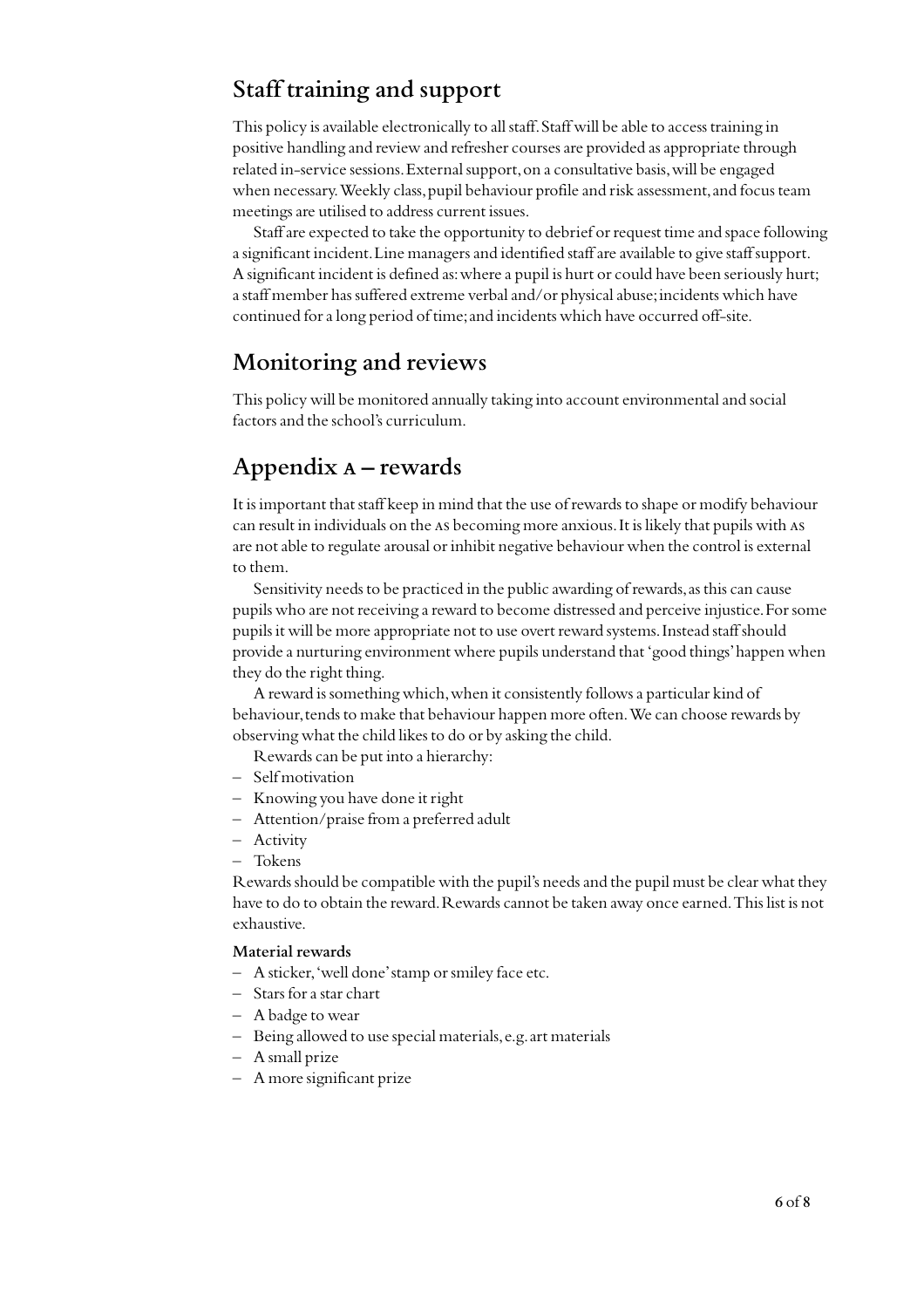# **Staff training and support**

This policy is available electronically to all staff. Staff will be able to access training in positive handling and review and refresher courses are provided as appropriate through related in-service sessions. External support, on a consultative basis, will be engaged when necessary. Weekly class, pupil behaviour profile and risk assessment, and focus team meetings are utilised to address current issues.

Staff are expected to take the opportunity to debrief or request time and space following a significant incident. Line managers and identified staff are available to give staff support. A significant incident is defined as: where a pupil is hurt or could have been seriously hurt; a staff member has suffered extreme verbal and/or physical abuse; incidents which have continued for a long period of time; and incidents which have occurred off-site.

# **Monitoring and reviews**

This policy will be monitored annually taking into account environmental and social factors and the school's curriculum.

# **Appendix a – rewards**

It is important that staff keep in mind that the use of rewards to shape or modify behaviour can result in individuals on the as becoming more anxious. It is likely that pupils with as are not able to regulate arousal or inhibit negative behaviour when the control is external to them.

Sensitivity needs to be practiced in the public awarding of rewards, as this can cause pupils who are not receiving a reward to become distressed and perceive injustice. For some pupils it will be more appropriate not to use overt reward systems. Instead staff should provide a nurturing environment where pupils understand that 'good things' happen when they do the right thing.

A reward is something which, when it consistently follows a particular kind of behaviour, tends to make that behaviour happen more often. We can choose rewards by observing what the child likes to do or by asking the child.

Rewards can be put into a hierarchy:

- Self motivation
- Knowing you have done it right
- Attention/praise from a preferred adult
- Activity
- Tokens

Rewards should be compatible with the pupil's needs and the pupil must be clear what they have to do to obtain the reward. Rewards cannot be taken away once earned. This list is not exhaustive.

#### **Material rewards**

- A sticker, 'well done' stamp or smiley face etc.
- Stars for a star chart
- A badge to wear
- Being allowed to use special materials, e.g. art materials
- A small prize
- A more significant prize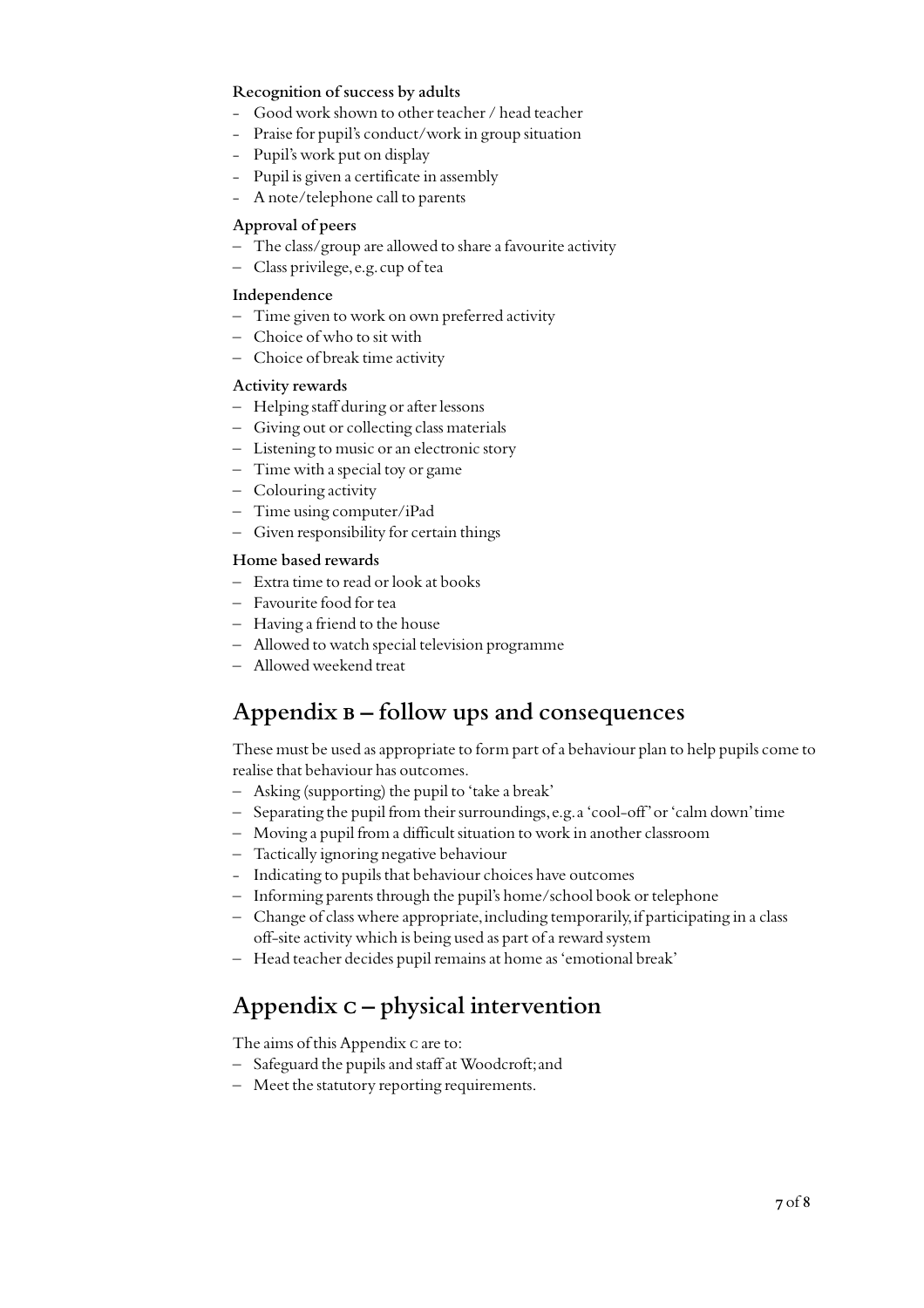#### **Recognition of success by adults**

- Good work shown to other teacher / head teacher
- Praise for pupil's conduct/work in group situation
- Pupil's work put on display
- Pupil is given a certificate in assembly
- A note/telephone call to parents

#### **Approval of peers**

- The class/group are allowed to share a favourite activity
- Class privilege, e.g. cup of tea

#### **Independence**

- Time given to work on own preferred activity
- Choice of who to sit with
- Choice of break time activity

#### **Activity rewards**

- Helping staff during or after lessons
- Giving out or collecting class materials
- Listening to music or an electronic story
- Time with a special toy or game
- Colouring activity
- Time using computer/iPad
- Given responsibility for certain things

#### **Home based rewards**

- Extra time to read or look at books
- Favourite food for tea
- Having a friend to the house
- Allowed to watch special television programme
- Allowed weekend treat

# **Appendix b – follow ups and consequences**

These must be used as appropriate to form part of a behaviour plan to help pupils come to realise that behaviour has outcomes.

- Asking (supporting) the pupil to 'take a break'
- Separating the pupil from their surroundings, e.g. a 'cool-off' or 'calm down' time
- Moving a pupil from a difficult situation to work in another classroom
- Tactically ignoring negative behaviour
- Indicating to pupils that behaviour choices have outcomes
- Informing parents through the pupil's home/school book or telephone
- Change of class where appropriate, including temporarily, if participating in a class off-site activity which is being used as part of a reward system
- Head teacher decides pupil remains at home as 'emotional break'

# **Appendix c – physical intervention**

The aims of this Appendix c are to:

- Safeguard the pupils and staff at Woodcroft; and
- Meet the statutory reporting requirements.